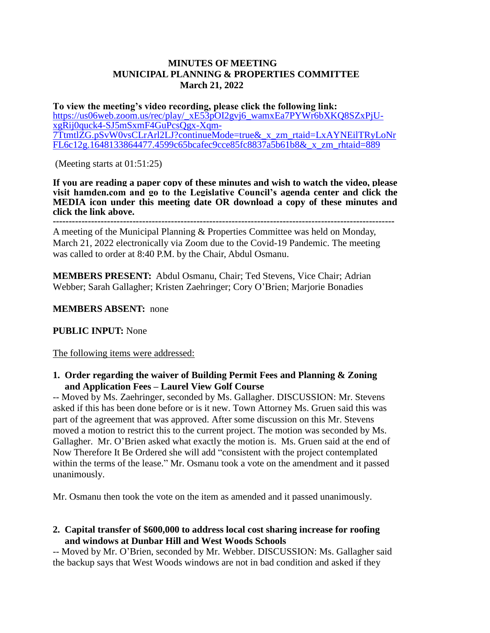# **MINUTES OF MEETING MUNICIPAL PLANNING & PROPERTIES COMMITTEE March 21, 2022**

**To view the meeting's video recording, please click the following link:** [https://us06web.zoom.us/rec/play/\\_xE53pOI2gvj6\\_wamxEa7PYWr6bXKQ8SZxPjU](https://us06web.zoom.us/rec/play/_xE53pOI2gvj6_wamxEa7PYWr6bXKQ8SZxPjU-xgRij0quck4-SJ5mSxmF4GuPcsQgx-Xqm-7TtmtlZG.pSvW0vsCLrArl2LJ?continueMode=true&_x_zm_rtaid=LxAYNEilTRyLoNrFL6c12g.1648133864477.4599c65bcafec9cce85fc8837a5b61b8&_x_zm_rhtaid=889)[xgRij0quck4-SJ5mSxmF4GuPcsQgx-Xqm-](https://us06web.zoom.us/rec/play/_xE53pOI2gvj6_wamxEa7PYWr6bXKQ8SZxPjU-xgRij0quck4-SJ5mSxmF4GuPcsQgx-Xqm-7TtmtlZG.pSvW0vsCLrArl2LJ?continueMode=true&_x_zm_rtaid=LxAYNEilTRyLoNrFL6c12g.1648133864477.4599c65bcafec9cce85fc8837a5b61b8&_x_zm_rhtaid=889)[7TtmtlZG.pSvW0vsCLrArl2LJ?continueMode=true&\\_x\\_zm\\_rtaid=LxAYNEilTRyLoNr](https://us06web.zoom.us/rec/play/_xE53pOI2gvj6_wamxEa7PYWr6bXKQ8SZxPjU-xgRij0quck4-SJ5mSxmF4GuPcsQgx-Xqm-7TtmtlZG.pSvW0vsCLrArl2LJ?continueMode=true&_x_zm_rtaid=LxAYNEilTRyLoNrFL6c12g.1648133864477.4599c65bcafec9cce85fc8837a5b61b8&_x_zm_rhtaid=889) [FL6c12g.1648133864477.4599c65bcafec9cce85fc8837a5b61b8&\\_x\\_zm\\_rhtaid=889](https://us06web.zoom.us/rec/play/_xE53pOI2gvj6_wamxEa7PYWr6bXKQ8SZxPjU-xgRij0quck4-SJ5mSxmF4GuPcsQgx-Xqm-7TtmtlZG.pSvW0vsCLrArl2LJ?continueMode=true&_x_zm_rtaid=LxAYNEilTRyLoNrFL6c12g.1648133864477.4599c65bcafec9cce85fc8837a5b61b8&_x_zm_rhtaid=889)

(Meeting starts at 01:51:25)

**If you are reading a paper copy of these minutes and wish to watch the video, please visit hamden.com and go to the Legislative Council's agenda center and click the MEDIA icon under this meeting date OR download a copy of these minutes and click the link above.**

**-----------------------------------------------------------------------------------------------------------** A meeting of the Municipal Planning & Properties Committee was held on Monday, March 21, 2022 electronically via Zoom due to the Covid-19 Pandemic. The meeting was called to order at 8:40 P.M. by the Chair, Abdul Osmanu.

**MEMBERS PRESENT:** Abdul Osmanu, Chair; Ted Stevens, Vice Chair; Adrian Webber; Sarah Gallagher; Kristen Zaehringer; Cory O'Brien; Marjorie Bonadies

# **MEMBERS ABSENT:** none

# **PUBLIC INPUT:** None

The following items were addressed:

# **1. Order regarding the waiver of Building Permit Fees and Planning & Zoning and Application Fees – Laurel View Golf Course**

-- Moved by Ms. Zaehringer, seconded by Ms. Gallagher. DISCUSSION: Mr. Stevens asked if this has been done before or is it new. Town Attorney Ms. Gruen said this was part of the agreement that was approved. After some discussion on this Mr. Stevens moved a motion to restrict this to the current project. The motion was seconded by Ms. Gallagher. Mr. O'Brien asked what exactly the motion is. Ms. Gruen said at the end of Now Therefore It Be Ordered she will add "consistent with the project contemplated within the terms of the lease." Mr. Osmanu took a vote on the amendment and it passed unanimously.

Mr. Osmanu then took the vote on the item as amended and it passed unanimously.

# **2. Capital transfer of \$600,000 to address local cost sharing increase for roofing and windows at Dunbar Hill and West Woods Schools**

-- Moved by Mr. O'Brien, seconded by Mr. Webber. DISCUSSION: Ms. Gallagher said the backup says that West Woods windows are not in bad condition and asked if they